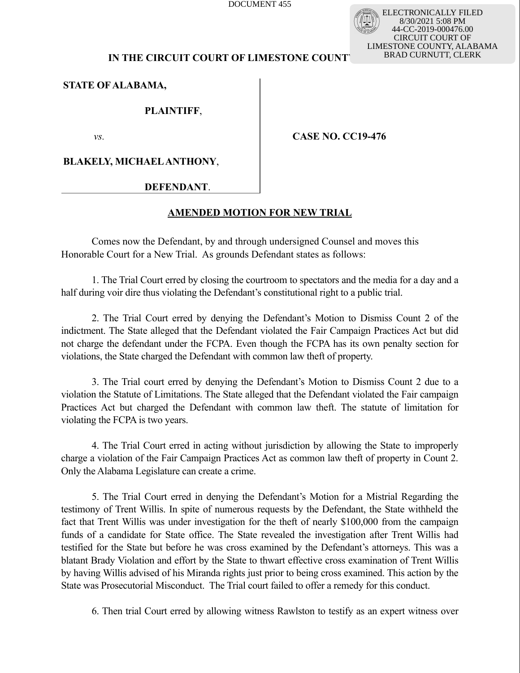DOCUMENT 455

ELECTRONICALLY FILED 8/30/2021 5:08 PM 44-CC-2019-000476.00 CIRCUIT COURT OF LIMESTONE COUNTY, ALABAMA BRAD CURNUTT, CLERK

# **IN THE CIRCUIT COURT OF LIMESTONE COUNTY**

**STATE OF ALABAMA,**

**PLAINTIFF**,

*vs.*

**CASE NO. CC19-476** 

**BLAKELY, MICHAEL ANTHONY**,

 **DEFENDANT**.

# **AMENDED MOTION FOR NEW TRIAL**

Comes now the Defendant, by and through undersigned Counsel and moves this Honorable Court for a New Trial. As grounds Defendant states as follows:

1. The Trial Court erred by closing the courtroom to spectators and the media for a day and a half during voir dire thus violating the Defendant's constitutional right to a public trial.

2. The Trial Court erred by denying the Defendant's Motion to Dismiss Count 2 of the indictment. The State alleged that the Defendant violated the Fair Campaign Practices Act but did not charge the defendant under the FCPA. Even though the FCPA has its own penalty section for violations, the State charged the Defendant with common law theft of property.

3. The Trial court erred by denying the Defendant's Motion to Dismiss Count 2 due to a violation the Statute of Limitations. The State alleged that the Defendant violated the Fair campaign Practices Act but charged the Defendant with common law theft. The statute of limitation for violating the FCPA is two years.

4. The Trial Court erred in acting without jurisdiction by allowing the State to improperly charge a violation of the Fair Campaign Practices Act as common law theft of property in Count 2. Only the Alabama Legislature can create a crime.

5. The Trial Court erred in denying the Defendant's Motion for a Mistrial Regarding the testimony of Trent Willis. In spite of numerous requests by the Defendant, the State withheld the fact that Trent Willis was under investigation for the theft of nearly \$100,000 from the campaign funds of a candidate for State office. The State revealed the investigation after Trent Willis had testified for the State but before he was cross examined by the Defendant's attorneys. This was a blatant Brady Violation and effort by the State to thwart effective cross examination of Trent Willis by having Willis advised of his Miranda rights just prior to being cross examined. This action by the State was Prosecutorial Misconduct. The Trial court failed to offer a remedy for this conduct.

6. Then trial Court erred by allowing witness Rawlston to testify as an expert witness over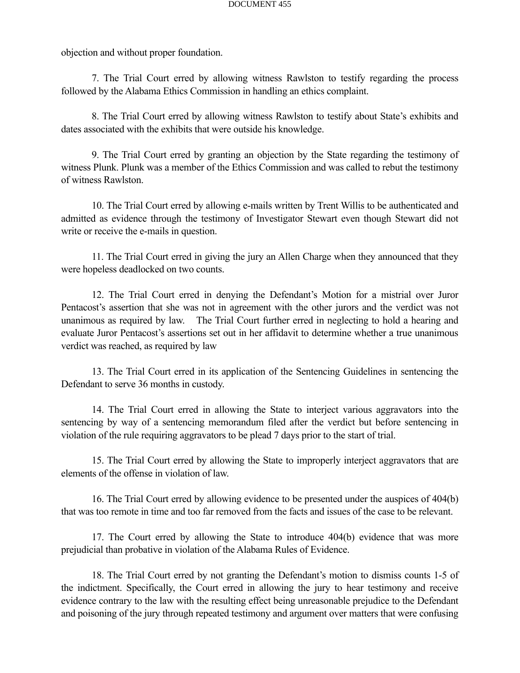objection and without proper foundation.

7. The Trial Court erred by allowing witness Rawlston to testify regarding the process followed by the Alabama Ethics Commission in handling an ethics complaint.

8. The Trial Court erred by allowing witness Rawlston to testify about State's exhibits and dates associated with the exhibits that were outside his knowledge.

9. The Trial Court erred by granting an objection by the State regarding the testimony of witness Plunk. Plunk was a member of the Ethics Commission and was called to rebut the testimony of witness Rawlston.

10. The Trial Court erred by allowing e-mails written by Trent Willis to be authenticated and admitted as evidence through the testimony of Investigator Stewart even though Stewart did not write or receive the e-mails in question.

11. The Trial Court erred in giving the jury an Allen Charge when they announced that they were hopeless deadlocked on two counts.

12. The Trial Court erred in denying the Defendant's Motion for a mistrial over Juror Pentacost's assertion that she was not in agreement with the other jurors and the verdict was not unanimous as required by law. The Trial Court further erred in neglecting to hold a hearing and evaluate Juror Pentacost's assertions set out in her affidavit to determine whether a true unanimous verdict was reached, as required by law

13. The Trial Court erred in its application of the Sentencing Guidelines in sentencing the Defendant to serve 36 months in custody.

14. The Trial Court erred in allowing the State to interject various aggravators into the sentencing by way of a sentencing memorandum filed after the verdict but before sentencing in violation of the rule requiring aggravators to be plead 7 days prior to the start of trial.

15. The Trial Court erred by allowing the State to improperly interject aggravators that are elements of the offense in violation of law.

16. The Trial Court erred by allowing evidence to be presented under the auspices of 404(b) that was too remote in time and too far removed from the facts and issues of the case to be relevant.

17. The Court erred by allowing the State to introduce 404(b) evidence that was more prejudicial than probative in violation of the Alabama Rules of Evidence.

18. The Trial Court erred by not granting the Defendant's motion to dismiss counts 1-5 of the indictment. Specifically, the Court erred in allowing the jury to hear testimony and receive evidence contrary to the law with the resulting effect being unreasonable prejudice to the Defendant and poisoning of the jury through repeated testimony and argument over matters that were confusing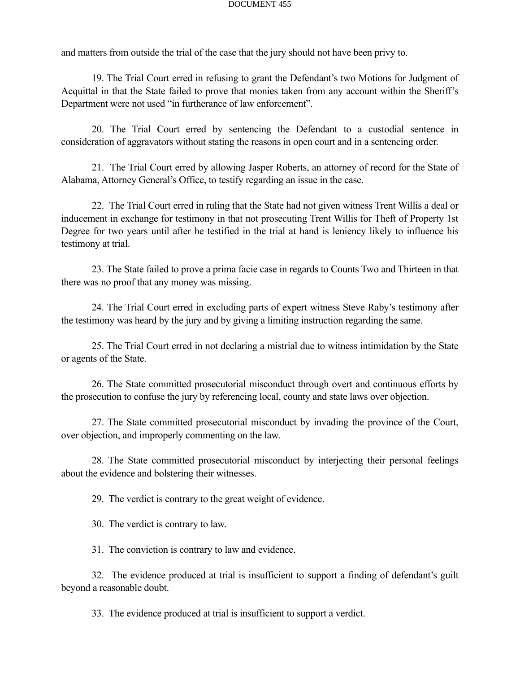### DOCUMENT 455

and matters from outside the trial of the case that the jury should not have been privy to.

19. The Trial Court erred in refusing to grant the Defendant's two Motions for Judgment of Acquittal in that the State failed to prove that monies taken from any account within the Sheriff's Department were not used "in furtherance of law enforcement".

20. The Trial Court erred by sentencing the Defendant to a custodial sentence in consideration of aggravators without stating the reasons in open court and in a sentencing order.

21. The Trial Court erred by allowing Jasper Roberts, an attorney of record for the State of Alabama, Attorney General's Office, to testify regarding an issue in the case.

22. The Trial Court erred in ruling that the State had not given witness Trent Willis a deal or inducement in exchange for testimony in that not prosecuting Trent Willis for Theft of Property 1st Degree for two years until after he testified in the trial at hand is leniency likely to influence his testimony at trial.

23. The State failed to prove a prima facie case in regards to Counts Two and Thirteen in that there was no proof that any money was missing.

24. The Trial Court erred in excluding parts of expert witness Steve Raby's testimony after the testimony was heard by the jury and by giving a limiting instruction regarding the same.

25. The Trial Court erred in not declaring a mistrial due to witness intimidation by the State or agents of the State.

26. The State committed prosecutorial misconduct through overt and continuous efforts by the prosecution to confuse the jury by referencing local, county and state laws over objection.

27. The State committed prosecutorial misconduct by invading the province of the Court, over objection, and improperly commenting on the law.

28. The State committed prosecutorial misconduct by interjecting their personal feelings about the evidence and bolstering their witnesses.

29. The verdict is contrary to the great weight of evidence.

30. The verdict is contrary to law.

31. The conviction is contrary to law and evidence.

32. The evidence produced at trial is insufficient to support a finding of defendant's guilt beyond a reasonable doubt.

33. The evidence produced at trial is insufficient to support a verdict.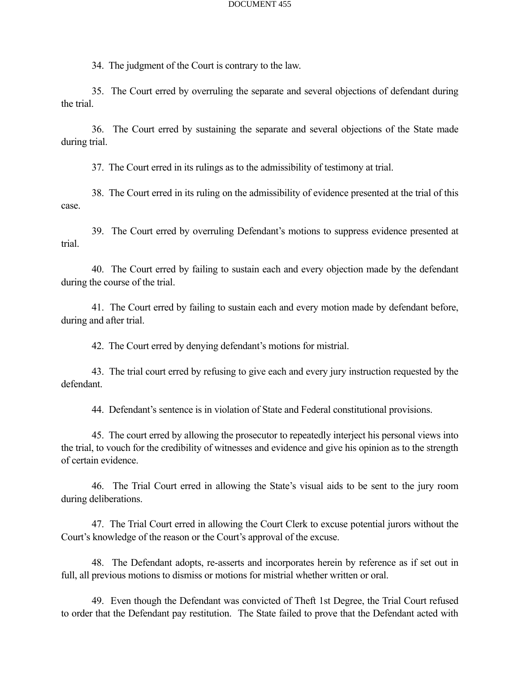### DOCUMENT 455

34. The judgment of the Court is contrary to the law.

35. The Court erred by overruling the separate and several objections of defendant during the trial.

36. The Court erred by sustaining the separate and several objections of the State made during trial.

37. The Court erred in its rulings as to the admissibility of testimony at trial.

38. The Court erred in its ruling on the admissibility of evidence presented at the trial of this case.

39. The Court erred by overruling Defendant's motions to suppress evidence presented at trial.

40. The Court erred by failing to sustain each and every objection made by the defendant during the course of the trial.

41. The Court erred by failing to sustain each and every motion made by defendant before, during and after trial.

42. The Court erred by denying defendant's motions for mistrial.

43. The trial court erred by refusing to give each and every jury instruction requested by the defendant.

44. Defendant's sentence is in violation of State and Federal constitutional provisions.

45. The court erred by allowing the prosecutor to repeatedly interject his personal views into the trial, to vouch for the credibility of witnesses and evidence and give his opinion as to the strength of certain evidence.

46. The Trial Court erred in allowing the State's visual aids to be sent to the jury room during deliberations.

47. The Trial Court erred in allowing the Court Clerk to excuse potential jurors without the Court's knowledge of the reason or the Court's approval of the excuse.

48. The Defendant adopts, re-asserts and incorporates herein by reference as if set out in full, all previous motions to dismiss or motions for mistrial whether written or oral.

49. Even though the Defendant was convicted of Theft 1st Degree, the Trial Court refused to order that the Defendant pay restitution. The State failed to prove that the Defendant acted with